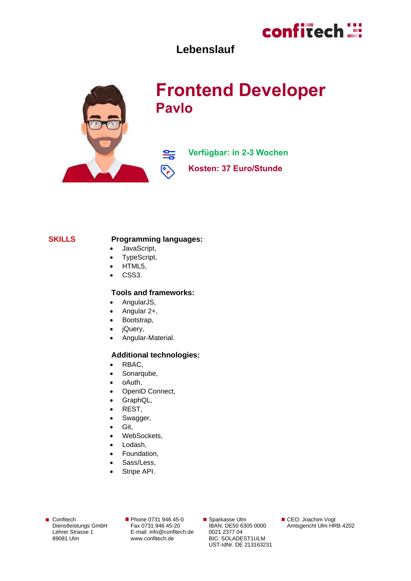

### **Lebenslauf**



### **Frontend Developer Pavlo**

**Verfügbar: in 2-3 Wochen**

**Kosten: 37 Euro/Stunde**

#### **SKILLS Programming languages:**

雲

E

- JavaScript,
- TypeScript,
- HTML5,
- CSS3.

#### **Tools and frameworks:**

- AngularJS,
- Angular 2+,
- Bootstrap,
- jQuery,
- Angular-Material.

#### **Additional technologies:**

- RBAC,
- Sonarqube,
- oAuth,
- OpenID Connect,
- GraphQL,
- REST,
- Swagger,
- Git,
- WebSockets.
- Lodash.
- Foundation,
- Sass/Less,
- Stripe API.

**■** Confitech Dienstleistungs GmbH Lehrer Strasse 1 89081 Ulm

Phone 0731 946 45-0 Fax 0731 946 45-20 E-mail[: info@confitech.de](mailto:info@confitech.de) www.confitech.de

■ Sparkasse Ulm IBAN: DE50 6305 0000 0021 2377 04 BIC: SOLADEST1ULM UST-IdNr. DE 213163231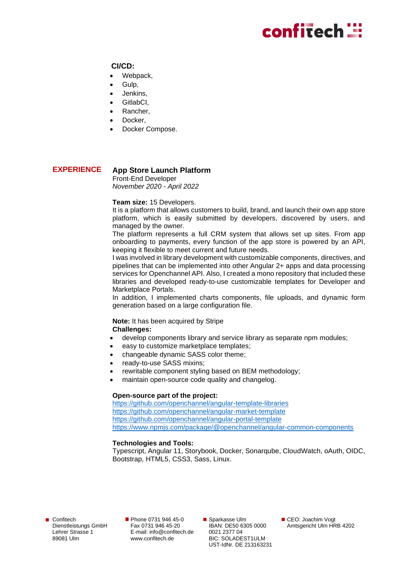# confitech **:::**

#### **CI/CD:**

- Webpack.
- Gulp,
- Jenkins,
- GitlabCl.
- Rancher.
- Docker.
- Docker Compose.

#### **EXPERIENCE App Store Launch Platform**

Front-End Developer *November 2020 - April 2022*

#### **Team size:** 15 Developers.

It is a platform that allows customers to build, brand, and launch their own app store platform, which is easily submitted by developers, discovered by users, and managed by the owner.

The platform represents a full CRM system that allows set up sites. From app onboarding to payments, every function of the app store is powered by an API, keeping it flexible to meet current and future needs.

I was involved in library development with customizable components, directives, and pipelines that can be implemented into other Angular 2+ apps and data processing services for Openchannel API. Also, I created a mono repository that included these libraries and developed ready-to-use customizable templates for Developer and Marketplace Portals.

In addition, I implemented charts components, file uploads, and dynamic form generation based on a large configuration file.

**Note:** It has been acquired by Stripe **Challenges:**

- develop components library and service library as separate npm modules;
- easy to customize marketplace templates;
- changeable dynamic SASS color theme;
- ready-to-use SASS mixins;
- rewritable component styling based on BEM methodology;
- maintain open-source code quality and changelog.

#### **Open-source part of the project:**

<https://github.com/openchannel/angular-template-libraries> <https://github.com/openchannel/angular-market-template> <https://github.com/openchannel/angular-portal-template> <https://www.npmjs.com/package/@openchannel/angular-common-components>

#### **Technologies and Tools:**

Typescript, Angular 11, Storybook, Docker, Sonarqube, CloudWatch, oAuth, OIDC, Bootstrap, HTML5, CSS3, Sass, Linux.

Confitech Dienstleistungs GmbH Lehrer Strasse 1 89081 Ulm

Phone 0731 946 45-0 Fax 0731 946 45-20 E-mail[: info@confitech.de](mailto:info@confitech.de) www.confitech.de

■ Sparkasse Ulm IBAN: DE50 6305 0000 0021 2377 04 BIC: SOLADEST1ULM UST-IdNr. DE 213163231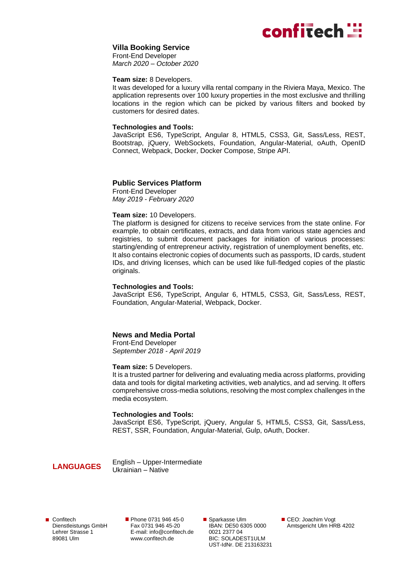## confitech **:::**

#### **Villa Booking Service**

Front-End Developer

*March 2020 – October 2020*

#### **Team size:** 8 Developers.

It was developed for a luxury villa rental company in the Riviera Maya, Mexico. The application represents over 100 luxury properties in the most exclusive and thrilling locations in the region which can be picked by various filters and booked by customers for desired dates.

#### **Technologies and Tools:**

JavaScript ES6, TypeScript, Angular 8, HTML5, CSS3, Git, Sass/Less, REST, Bootstrap, jQuery, WebSockets, Foundation, Angular-Material, oAuth, OpenID Connect, Webpack, Docker, Docker Compose, Stripe API.

#### **Public Services Platform**

Front-End Developer *May 2019 - February 2020*

#### **Team size:** 10 Developers.

The platform is designed for citizens to receive services from the state online. For example, to obtain certificates, extracts, and data from various state agencies and registries, to submit document packages for initiation of various processes: starting/ending of entrepreneur activity, registration of unemployment benefits, etc. It also contains electronic copies of documents such as passports, ID cards, student IDs, and driving licenses, which can be used like full-fledged copies of the plastic originals.

#### **Technologies and Tools:**

JavaScript ES6, TypeScript, Angular 6, HTML5, CSS3, Git, Sass/Less, REST, Foundation, Angular-Material, Webpack, Docker.

#### **News and Media Portal**

Front-End Developer *September 2018 - April 2019*

#### **Team size:** 5 Developers.

It is a trusted partner for delivering and evaluating media across platforms, providing data and tools for digital marketing activities, web analytics, and ad serving. It offers comprehensive cross-media solutions, resolving the most complex challenges in the media ecosystem.

#### **Technologies and Tools:**

JavaScript ES6, TypeScript, jQuery, Angular 5, HTML5, CSS3, Git, Sass/Less, REST, SSR, Foundation, Angular-Material, Gulp, oAuth, Docker.

#### **LANGUAGES**

English – Upper-Intermediate Ukrainian – Native

Confitech Dienstleistungs GmbH Lehrer Strasse 1 89081 Ulm

Phone 0731 946 45-0 Fax 0731 946 45-20 E-mail[: info@confitech.de](mailto:info@confitech.de) www.confitech.de

■ Sparkasse Ulm IBAN: DE50 6305 0000 0021 2377 04 BIC: SOLADEST1ULM UST-IdNr. DE 213163231